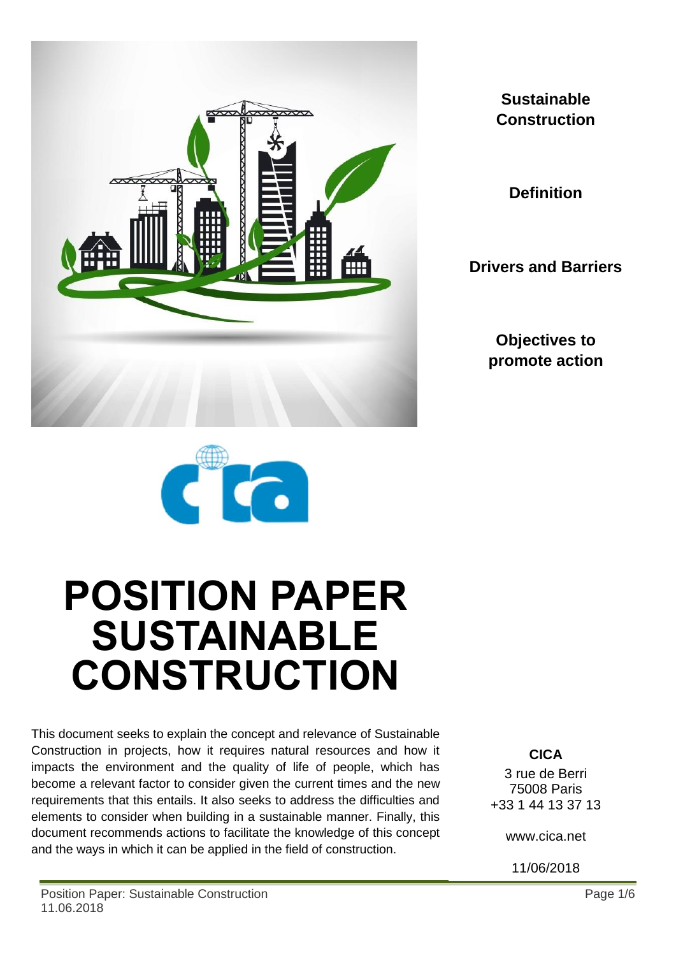

**Sustainable Construction**

**Definition**

**Drivers and Barriers**

**Objectives to promote action**



# **POSITION PAPER SUSTAINABLE CONSTRUCTION**

This document seeks to explain the concept and relevance of Sustainable Construction in projects, how it requires natural resources and how it impacts the environment and the quality of life of people, which has become a relevant factor to consider given the current times and the new requirements that this entails. It also seeks to address the difficulties and elements to consider when building in a sustainable manner. Finally, this document recommends actions to facilitate the knowledge of this concept and the ways in which it can be applied in the field of construction.

**CICA** 3 rue de Berri 75008 Paris +33 1 44 13 37 13

www.cica.net

11/06/2018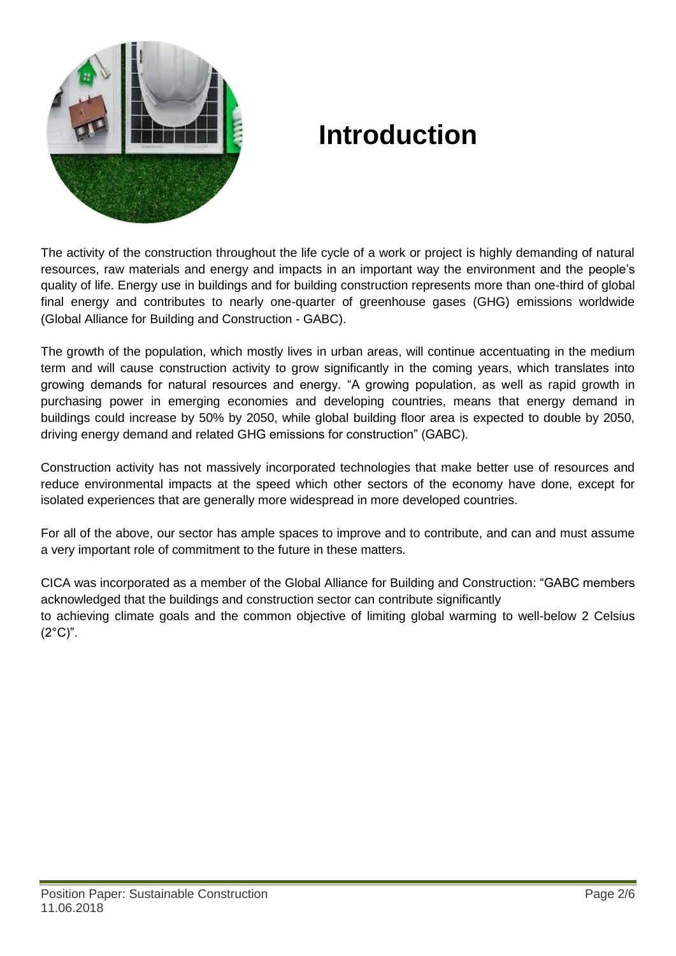

## **Introduction**

The activity of the construction throughout the life cycle of a work or project is highly demanding of natural resources, raw materials and energy and impacts in an important way the environment and the people's quality of life. Energy use in buildings and for building construction represents more than one-third of global final energy and contributes to nearly one-quarter of greenhouse gases (GHG) emissions worldwide (Global Alliance for Building and Construction - GABC).

The growth of the population, which mostly lives in urban areas, will continue accentuating in the medium term and will cause construction activity to grow significantly in the coming years, which translates into growing demands for natural resources and energy. "A growing population, as well as rapid growth in purchasing power in emerging economies and developing countries, means that energy demand in buildings could increase by 50% by 2050, while global building floor area is expected to double by 2050, driving energy demand and related GHG emissions for construction" (GABC).

Construction activity has not massively incorporated technologies that make better use of resources and reduce environmental impacts at the speed which other sectors of the economy have done, except for isolated experiences that are generally more widespread in more developed countries.

For all of the above, our sector has ample spaces to improve and to contribute, and can and must assume a very important role of commitment to the future in these matters.

CICA was incorporated as a member of the Global Alliance for Building and Construction: "GABC members acknowledged that the buildings and construction sector can contribute significantly to achieving climate goals and the common objective of limiting global warming to well-below 2 Celsius  $(2^{\circ}C)^{n}$ .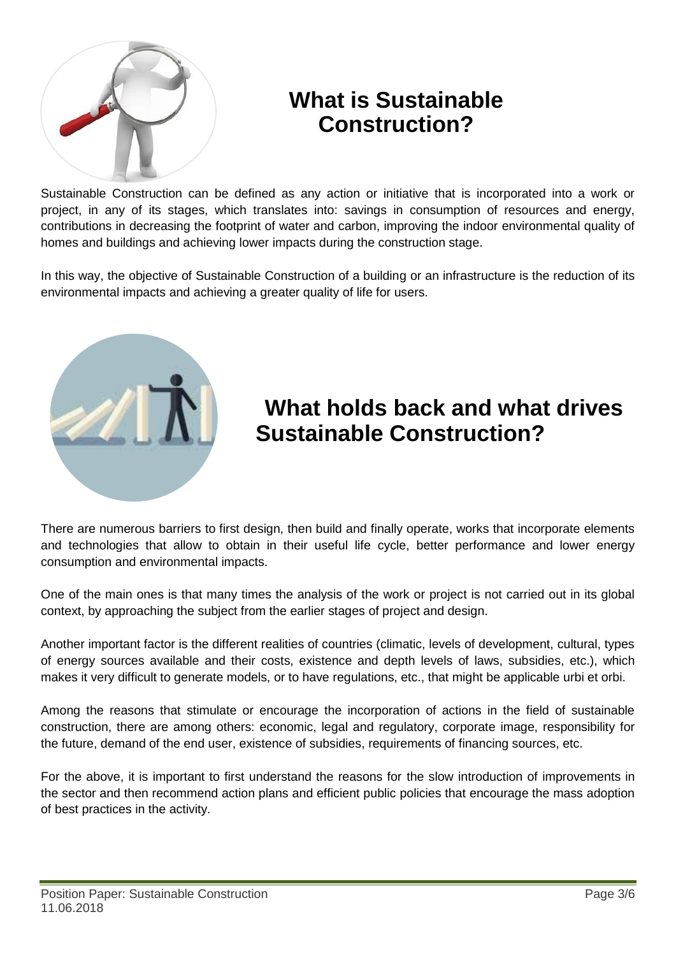

#### **What is Sustainable Construction?**

Sustainable Construction can be defined as any action or initiative that is incorporated into a work or project, in any of its stages, which translates into: savings in consumption of resources and energy, contributions in decreasing the footprint of water and carbon, improving the indoor environmental quality of homes and buildings and achieving lower impacts during the construction stage.

In this way, the objective of Sustainable Construction of a building or an infrastructure is the reduction of its environmental impacts and achieving a greater quality of life for users.



### **What holds back and what drives Sustainable Construction?**

There are numerous barriers to first design, then build and finally operate, works that incorporate elements and technologies that allow to obtain in their useful life cycle, better performance and lower energy consumption and environmental impacts.

One of the main ones is that many times the analysis of the work or project is not carried out in its global context, by approaching the subject from the earlier stages of project and design.

Another important factor is the different realities of countries (climatic, levels of development, cultural, types of energy sources available and their costs, existence and depth levels of laws, subsidies, etc.), which makes it very difficult to generate models, or to have regulations, etc., that might be applicable urbi et orbi.

Among the reasons that stimulate or encourage the incorporation of actions in the field of sustainable construction, there are among others: economic, legal and regulatory, corporate image, responsibility for the future, demand of the end user, existence of subsidies, requirements of financing sources, etc.

For the above, it is important to first understand the reasons for the slow introduction of improvements in the sector and then recommend action plans and efficient public policies that encourage the mass adoption of best practices in the activity.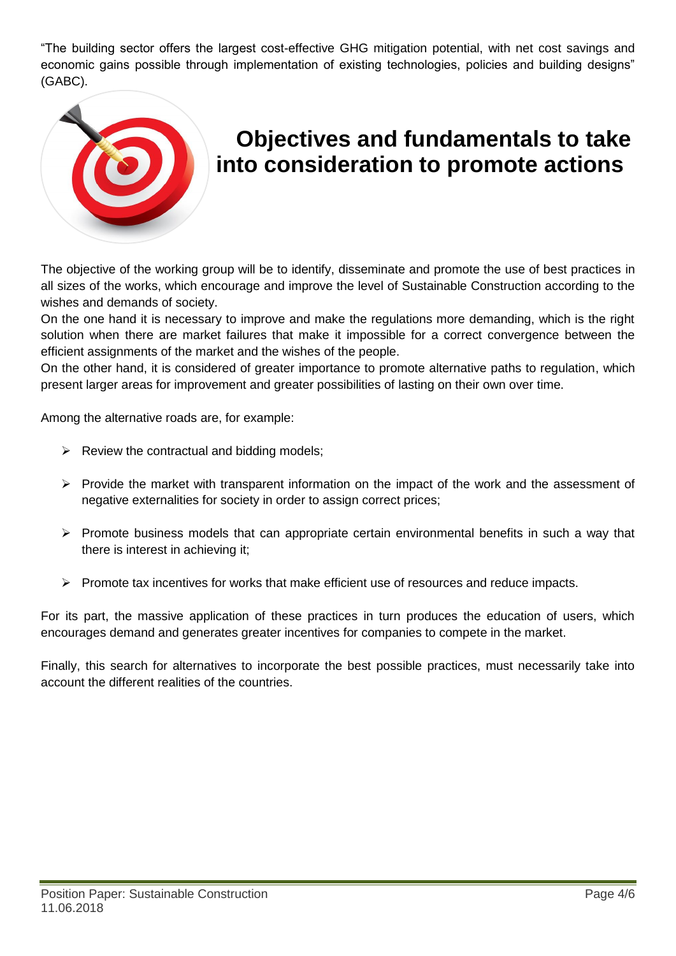"The building sector offers the largest cost-effective GHG mitigation potential, with net cost savings and economic gains possible through implementation of existing technologies, policies and building designs" (GABC).



#### **Objectives and fundamentals to take into consideration to promote actions**

The objective of the working group will be to identify, disseminate and promote the use of best practices in all sizes of the works, which encourage and improve the level of Sustainable Construction according to the wishes and demands of society.

On the one hand it is necessary to improve and make the regulations more demanding, which is the right solution when there are market failures that make it impossible for a correct convergence between the efficient assignments of the market and the wishes of the people.

On the other hand, it is considered of greater importance to promote alternative paths to regulation, which present larger areas for improvement and greater possibilities of lasting on their own over time.

Among the alternative roads are, for example:

- $\triangleright$  Review the contractual and bidding models;
- $\triangleright$  Provide the market with transparent information on the impact of the work and the assessment of negative externalities for society in order to assign correct prices;
- $\triangleright$  Promote business models that can appropriate certain environmental benefits in such a way that there is interest in achieving it;
- $\triangleright$  Promote tax incentives for works that make efficient use of resources and reduce impacts.

For its part, the massive application of these practices in turn produces the education of users, which encourages demand and generates greater incentives for companies to compete in the market.

Finally, this search for alternatives to incorporate the best possible practices, must necessarily take into account the different realities of the countries.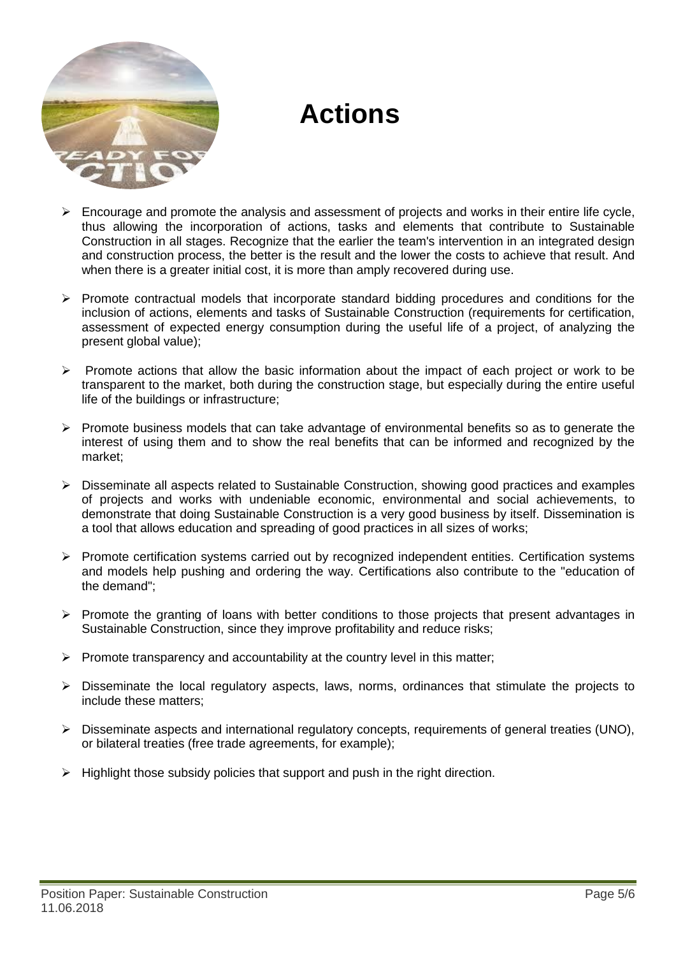

## **Actions**

- $\triangleright$  Encourage and promote the analysis and assessment of projects and works in their entire life cycle, thus allowing the incorporation of actions, tasks and elements that contribute to Sustainable Construction in all stages. Recognize that the earlier the team's intervention in an integrated design and construction process, the better is the result and the lower the costs to achieve that result. And when there is a greater initial cost, it is more than amply recovered during use.
- $\triangleright$  Promote contractual models that incorporate standard bidding procedures and conditions for the inclusion of actions, elements and tasks of Sustainable Construction (requirements for certification, assessment of expected energy consumption during the useful life of a project, of analyzing the present global value);
- $\triangleright$  Promote actions that allow the basic information about the impact of each project or work to be transparent to the market, both during the construction stage, but especially during the entire useful life of the buildings or infrastructure;
- $\triangleright$  Promote business models that can take advantage of environmental benefits so as to generate the interest of using them and to show the real benefits that can be informed and recognized by the market;
- Disseminate all aspects related to Sustainable Construction, showing good practices and examples of projects and works with undeniable economic, environmental and social achievements, to demonstrate that doing Sustainable Construction is a very good business by itself. Dissemination is a tool that allows education and spreading of good practices in all sizes of works;
- $\triangleright$  Promote certification systems carried out by recognized independent entities. Certification systems and models help pushing and ordering the way. Certifications also contribute to the "education of the demand";
- $\triangleright$  Promote the granting of loans with better conditions to those projects that present advantages in Sustainable Construction, since they improve profitability and reduce risks;
- $\triangleright$  Promote transparency and accountability at the country level in this matter;
- $\triangleright$  Disseminate the local regulatory aspects, laws, norms, ordinances that stimulate the projects to include these matters;
- $\triangleright$  Disseminate aspects and international requiatory concepts, requirements of general treaties (UNO), or bilateral treaties (free trade agreements, for example);
- $\triangleright$  Highlight those subsidy policies that support and push in the right direction.